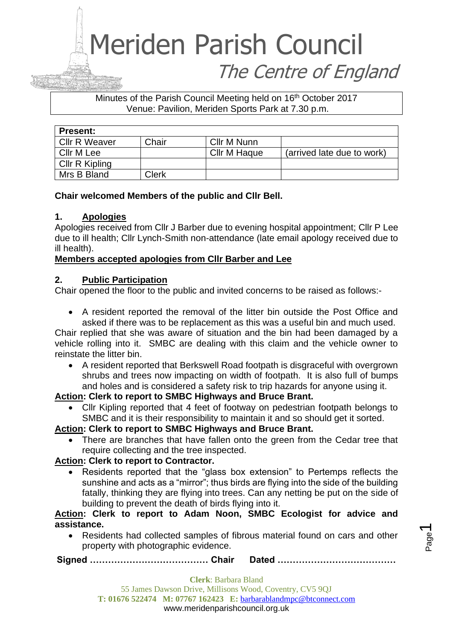#### Minutes of the Parish Council Meeting held on 16<sup>th</sup> October 2017 Venue: Pavilion, Meriden Sports Park at 7.30 p.m.

| <b>Present:</b>      |       |              |                            |
|----------------------|-------|--------------|----------------------------|
| <b>Cllr R Weaver</b> | Chair | Cllr M Nunn  |                            |
| Cllr M Lee           |       | Cllr M Haque | (arrived late due to work) |
| Cllr R Kipling       |       |              |                            |
| Mrs B Bland          | Clerk |              |                            |

#### **Chair welcomed Members of the public and Cllr Bell.**

#### **1. Apologies**

Apologies received from Cllr J Barber due to evening hospital appointment; Cllr P Lee due to ill health; Cllr Lynch-Smith non-attendance (late email apology received due to ill health).

#### **Members accepted apologies from Cllr Barber and Lee**

#### **2. Public Participation**

Chair opened the floor to the public and invited concerns to be raised as follows:-

• A resident reported the removal of the litter bin outside the Post Office and asked if there was to be replacement as this was a useful bin and much used.

Chair replied that she was aware of situation and the bin had been damaged by a vehicle rolling into it. SMBC are dealing with this claim and the vehicle owner to reinstate the litter bin.

• A resident reported that Berkswell Road footpath is disgraceful with overgrown shrubs and trees now impacting on width of footpath. It is also full of bumps and holes and is considered a safety risk to trip hazards for anyone using it.

#### **Action: Clerk to report to SMBC Highways and Bruce Brant.**

• Cllr Kipling reported that 4 feet of footway on pedestrian footpath belongs to SMBC and it is their responsibility to maintain it and so should get it sorted.

#### **Action: Clerk to report to SMBC Highways and Bruce Brant.**

There are branches that have fallen onto the green from the Cedar tree that require collecting and the tree inspected.

#### **Action: Clerk to report to Contractor.**

• Residents reported that the "glass box extension" to Pertemps reflects the sunshine and acts as a "mirror"; thus birds are flying into the side of the building fatally, thinking they are flying into trees. Can any netting be put on the side of building to prevent the death of birds flying into it.

**Action: Clerk to report to Adam Noon, SMBC Ecologist for advice and assistance.**

• Residents had collected samples of fibrous material found on cars and other property with photographic evidence.

**Signed ………………………………… Chair Dated …………………………………**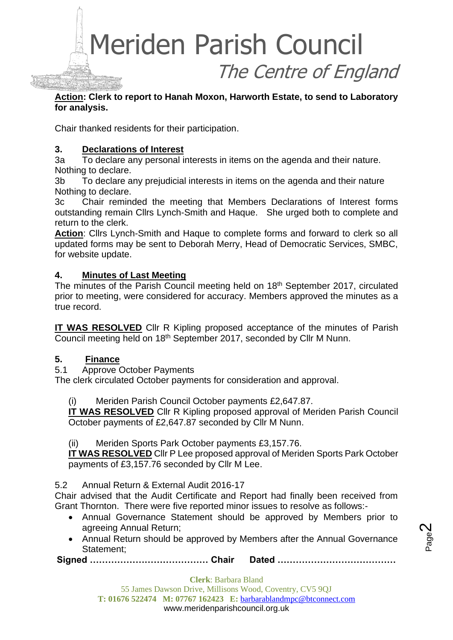#### **Action: Clerk to report to Hanah Moxon, Harworth Estate, to send to Laboratory for analysis.**

Chair thanked residents for their participation.

#### **3. Declarations of Interest**

3a To declare any personal interests in items on the agenda and their nature. Nothing to declare.

3b To declare any prejudicial interests in items on the agenda and their nature Nothing to declare.

3c Chair reminded the meeting that Members Declarations of Interest forms outstanding remain Cllrs Lynch-Smith and Haque. She urged both to complete and return to the clerk.

**Action**: Cllrs Lynch-Smith and Haque to complete forms and forward to clerk so all updated forms may be sent to Deborah Merry, Head of Democratic Services, SMBC, for website update.

#### **4. Minutes of Last Meeting**

The minutes of the Parish Council meeting held on 18<sup>th</sup> September 2017, circulated prior to meeting, were considered for accuracy. Members approved the minutes as a true record.

**IT WAS RESOLVED** Cllr R Kipling proposed acceptance of the minutes of Parish Council meeting held on 18th September 2017, seconded by Cllr M Nunn.

#### **5. Finance**

5.1 Approve October Payments

The clerk circulated October payments for consideration and approval.

(i) Meriden Parish Council October payments £2,647.87.

**IT WAS RESOLVED** Cllr R Kipling proposed approval of Meriden Parish Council October payments of £2,647.87 seconded by Cllr M Nunn.

(ii) Meriden Sports Park October payments £3,157.76.

**IT WAS RESOLVED** Cllr P Lee proposed approval of Meriden Sports Park October payments of £3,157.76 seconded by Cllr M Lee.

#### 5.2 Annual Return & External Audit 2016-17

Chair advised that the Audit Certificate and Report had finally been received from Grant Thornton. There were five reported minor issues to resolve as follows:-

- Annual Governance Statement should be approved by Members prior to agreeing Annual Return;
- Annual Return should be approved by Members after the Annual Governance Statement;

**Signed ………………………………… Chair Dated …………………………………**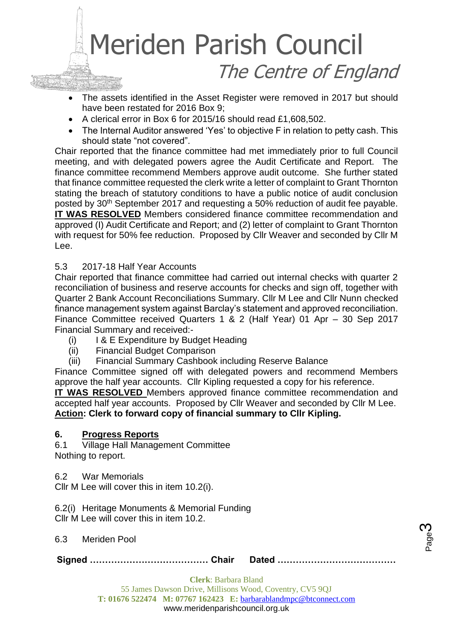

- The assets identified in the Asset Register were removed in 2017 but should have been restated for 2016 Box 9;
- A clerical error in Box 6 for 2015/16 should read £1,608,502.
- The Internal Auditor answered 'Yes' to objective F in relation to petty cash. This should state "not covered".

Chair reported that the finance committee had met immediately prior to full Council meeting, and with delegated powers agree the Audit Certificate and Report. The finance committee recommend Members approve audit outcome. She further stated that finance committee requested the clerk write a letter of complaint to Grant Thornton stating the breach of statutory conditions to have a public notice of audit conclusion posted by 30<sup>th</sup> September 2017 and requesting a 50% reduction of audit fee payable. **IT WAS RESOLVED** Members considered finance committee recommendation and approved (I) Audit Certificate and Report; and (2) letter of complaint to Grant Thornton with request for 50% fee reduction. Proposed by Cllr Weaver and seconded by Cllr M Lee.

#### 5.3 2017-18 Half Year Accounts

Chair reported that finance committee had carried out internal checks with quarter 2 reconciliation of business and reserve accounts for checks and sign off, together with Quarter 2 Bank Account Reconciliations Summary. Cllr M Lee and Cllr Nunn checked finance management system against Barclay's statement and approved reconciliation. Finance Committee received Quarters 1 & 2 (Half Year) 01 Apr – 30 Sep 2017 Financial Summary and received:-

- (i) I & E Expenditure by Budget Heading
- (ii) Financial Budget Comparison
- (iii) Financial Summary Cashbook including Reserve Balance

Finance Committee signed off with delegated powers and recommend Members approve the half year accounts. Cllr Kipling requested a copy for his reference.

**IT WAS RESOLVED** Members approved finance committee recommendation and accepted half year accounts. Proposed by Cllr Weaver and seconded by Cllr M Lee. **Action: Clerk to forward copy of financial summary to Cllr Kipling.**

#### **6. Progress Reports**

6.1 Village Hall Management Committee Nothing to report.

6.2 War Memorials

Cllr M Lee will cover this in item 10.2(i).

6.2(i) Heritage Monuments & Memorial Funding Cllr M Lee will cover this in item 10.2.

6.3 Meriden Pool

**Signed ………………………………… Chair Dated …………………………………**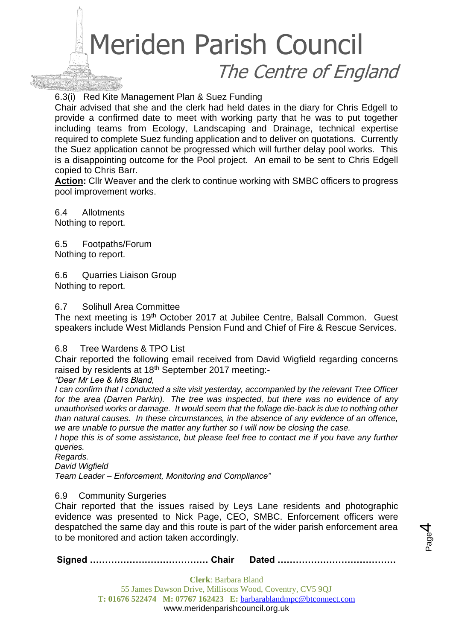6.3(i) Red Kite Management Plan & Suez Funding

Chair advised that she and the clerk had held dates in the diary for Chris Edgell to provide a confirmed date to meet with working party that he was to put together including teams from Ecology, Landscaping and Drainage, technical expertise required to complete Suez funding application and to deliver on quotations. Currently the Suez application cannot be progressed which will further delay pool works. This is a disappointing outcome for the Pool project. An email to be sent to Chris Edgell copied to Chris Barr.

**Action:** Cllr Weaver and the clerk to continue working with SMBC officers to progress pool improvement works.

6.4 Allotments Nothing to report.

6.5 Footpaths/Forum Nothing to report.

6.6 Quarries Liaison Group Nothing to report.

#### 6.7 Solihull Area Committee

The next meeting is 19<sup>th</sup> October 2017 at Jubilee Centre, Balsall Common. Guest speakers include West Midlands Pension Fund and Chief of Fire & Rescue Services.

#### 6.8 Tree Wardens & TPO List

Chair reported the following email received from David Wigfield regarding concerns raised by residents at 18<sup>th</sup> September 2017 meeting:-

*"Dear Mr Lee & Mrs Bland,*

*I can confirm that I conducted a site visit yesterday, accompanied by the relevant Tree Officer for the area (Darren Parkin). The tree was inspected, but there was no evidence of any unauthorised works or damage. It would seem that the foliage die-back is due to nothing other than natural causes. In these circumstances, in the absence of any evidence of an offence, we are unable to pursue the matter any further so I will now be closing the case.*

*I hope this is of some assistance, but please feel free to contact me if you have any further queries.*

*Regards.*

*David Wigfield*

*Team Leader – Enforcement, Monitoring and Compliance"*

#### 6.9 Community Surgeries

Chair reported that the issues raised by Leys Lane residents and photographic evidence was presented to Nick Page, CEO, SMBC. Enforcement officers were despatched the same day and this route is part of the wider parish enforcement area to be monitored and action taken accordingly.

**Signed ………………………………… Chair Dated …………………………………**

Page 4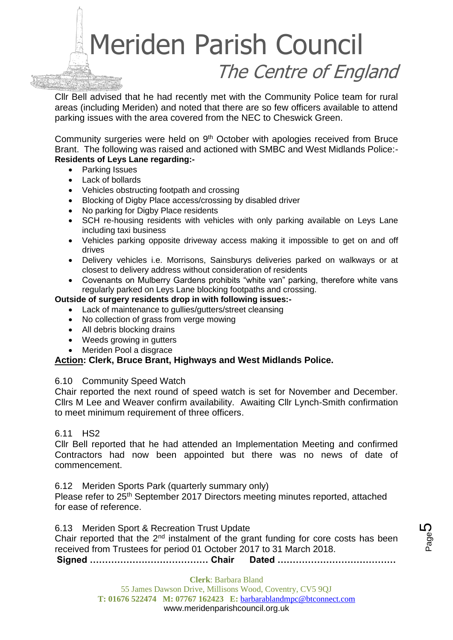Cllr Bell advised that he had recently met with the Community Police team for rural areas (including Meriden) and noted that there are so few officers available to attend parking issues with the area covered from the NEC to Cheswick Green.

Community surgeries were held on 9<sup>th</sup> October with apologies received from Bruce Brant. The following was raised and actioned with SMBC and West Midlands Police:- **Residents of Leys Lane regarding:-**

- Parking Issues
- Lack of bollards
- Vehicles obstructing footpath and crossing
- Blocking of Digby Place access/crossing by disabled driver
- No parking for Digby Place residents
- SCH re-housing residents with vehicles with only parking available on Leys Lane including taxi business
- Vehicles parking opposite driveway access making it impossible to get on and off drives
- Delivery vehicles i.e. Morrisons, Sainsburys deliveries parked on walkways or at closest to delivery address without consideration of residents
- Covenants on Mulberry Gardens prohibits "white van" parking, therefore white vans regularly parked on Leys Lane blocking footpaths and crossing.

#### **Outside of surgery residents drop in with following issues:-**

- Lack of maintenance to gullies/gutters/street cleansing
- No collection of grass from verge mowing
- All debris blocking drains
- Weeds growing in gutters
- Meriden Pool a disgrace

#### **Action: Clerk, Bruce Brant, Highways and West Midlands Police.**

#### 6.10 Community Speed Watch

Chair reported the next round of speed watch is set for November and December. Cllrs M Lee and Weaver confirm availability. Awaiting Cllr Lynch-Smith confirmation to meet minimum requirement of three officers.

#### 6.11 HS2

Cllr Bell reported that he had attended an Implementation Meeting and confirmed Contractors had now been appointed but there was no news of date of commencement.

6.12 Meriden Sports Park (quarterly summary only)

Please refer to 25<sup>th</sup> September 2017 Directors meeting minutes reported, attached for ease of reference.

**Signed ………………………………… Chair Dated …………………………………** 6.13 Meriden Sport & Recreation Trust Update Chair reported that the  $2<sup>nd</sup>$  instalment of the grant funding for core costs has been received from Trustees for period 01 October 2017 to 31 March 2018.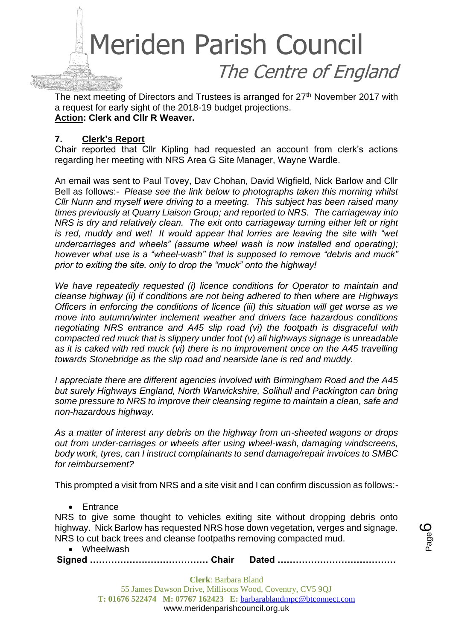

The next meeting of Directors and Trustees is arranged for 27<sup>th</sup> November 2017 with a request for early sight of the 2018-19 budget projections. **Action: Clerk and Cllr R Weaver.**

#### **7. Clerk's Report**

Chair reported that Cllr Kipling had requested an account from clerk's actions regarding her meeting with NRS Area G Site Manager, Wayne Wardle.

An email was sent to Paul Tovey, Dav Chohan, David Wigfield, Nick Barlow and Cllr Bell as follows:- *Please see the link below to photographs taken this morning whilst Cllr Nunn and myself were driving to a meeting. This subject has been raised many times previously at Quarry Liaison Group; and reported to NRS. The carriageway into NRS is dry and relatively clean. The exit onto carriageway turning either left or right is red, muddy and wet! It would appear that lorries are leaving the site with "wet undercarriages and wheels" (assume wheel wash is now installed and operating); however what use is a "wheel-wash" that is supposed to remove "debris and muck" prior to exiting the site, only to drop the "muck" onto the highway!* 

*We have repeatedly requested (i) licence conditions for Operator to maintain and cleanse highway (ii) if conditions are not being adhered to then where are Highways Officers in enforcing the conditions of licence (iii) this situation will get worse as we move into autumn/winter inclement weather and drivers face hazardous conditions negotiating NRS entrance and A45 slip road (vi) the footpath is disgraceful with compacted red muck that is slippery under foot (v) all highways signage is unreadable as it is caked with red muck (vi) there is no improvement once on the A45 travelling towards Stonebridge as the slip road and nearside lane is red and muddy.*

*I appreciate there are different agencies involved with Birmingham Road and the A45 but surely Highways England, North Warwickshire, Solihull and Packington can bring some pressure to NRS to improve their cleansing regime to maintain a clean, safe and non-hazardous highway.*

*As a matter of interest any debris on the highway from un-sheeted wagons or drops out from under-carriages or wheels after using wheel-wash, damaging windscreens, body work, tyres, can I instruct complainants to send damage/repair invoices to SMBC for reimbursement?*

This prompted a visit from NRS and a site visit and I can confirm discussion as follows:-

• Entrance

NRS to give some thought to vehicles exiting site without dropping debris onto highway. Nick Barlow has requested NRS hose down vegetation, verges and signage. NRS to cut back trees and cleanse footpaths removing compacted mud.

• Wheelwash

**Signed ………………………………… Chair Dated …………………………………**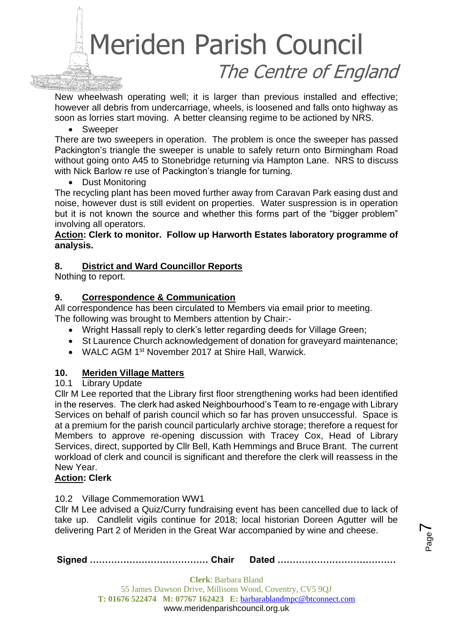New wheelwash operating well; it is larger than previous installed and effective; however all debris from undercarriage, wheels, is loosened and falls onto highway as soon as lorries start moving. A better cleansing regime to be actioned by NRS.

• Sweeper

There are two sweepers in operation. The problem is once the sweeper has passed Packington's triangle the sweeper is unable to safely return onto Birmingham Road without going onto A45 to Stonebridge returning via Hampton Lane. NRS to discuss with Nick Barlow re use of Packington's triangle for turning.

• Dust Monitoring

The recycling plant has been moved further away from Caravan Park easing dust and noise, however dust is still evident on properties. Water suspression is in operation but it is not known the source and whether this forms part of the "bigger problem" involving all operators.

#### **Action: Clerk to monitor. Follow up Harworth Estates laboratory programme of analysis.**

#### **8. District and Ward Councillor Reports**

Nothing to report.

#### **9. Correspondence & Communication**

All correspondence has been circulated to Members via email prior to meeting. The following was brought to Members attention by Chair:-

- Wright Hassall reply to clerk's letter regarding deeds for Village Green;
- St Laurence Church acknowledgement of donation for graveyard maintenance;
- WALC AGM 1<sup>st</sup> November 2017 at Shire Hall, Warwick.

#### **10. Meriden Village Matters**

#### 10.1 Library Update

Cllr M Lee reported that the Library first floor strengthening works had been identified in the reserves. The clerk had asked Neighbourhood's Team to re-engage with Library Services on behalf of parish council which so far has proven unsuccessful. Space is at a premium for the parish council particularly archive storage; therefore a request for Members to approve re-opening discussion with Tracey Cox, Head of Library Services, direct, supported by Cllr Bell, Kath Hemmings and Bruce Brant. The current workload of clerk and council is significant and therefore the clerk will reassess in the New Year.

#### **Action: Clerk**

#### 10.2 Village Commemoration WW1

Cllr M Lee advised a Quiz/Curry fundraising event has been cancelled due to lack of take up. Candlelit vigils continue for 2018; local historian Doreen Agutter will be delivering Part 2 of Meriden in the Great War accompanied by wine and cheese.

**Signed ………………………………… Chair Dated …………………………………**

Page  $\blacktriangleright$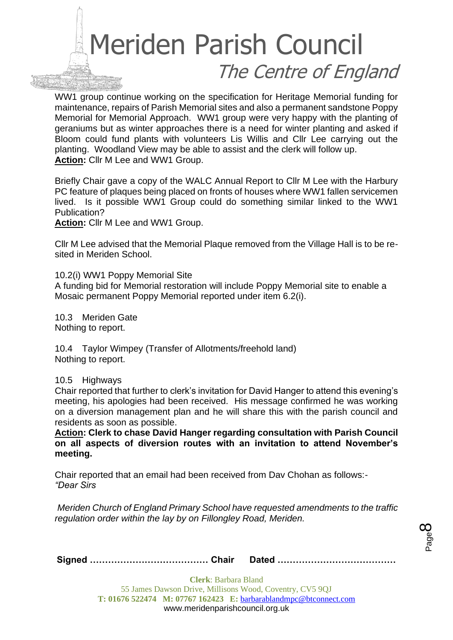WW1 group continue working on the specification for Heritage Memorial funding for maintenance, repairs of Parish Memorial sites and also a permanent sandstone Poppy Memorial for Memorial Approach. WW1 group were very happy with the planting of geraniums but as winter approaches there is a need for winter planting and asked if Bloom could fund plants with volunteers Lis Willis and Cllr Lee carrying out the planting. Woodland View may be able to assist and the clerk will follow up. **Action:** Cllr M Lee and WW1 Group.

Briefly Chair gave a copy of the WALC Annual Report to Cllr M Lee with the Harbury PC feature of plaques being placed on fronts of houses where WW1 fallen servicemen lived. Is it possible WW1 Group could do something similar linked to the WW1 Publication?

**Action:** Cllr M Lee and WW1 Group.

Cllr M Lee advised that the Memorial Plaque removed from the Village Hall is to be resited in Meriden School.

10.2(i) WW1 Poppy Memorial Site A funding bid for Memorial restoration will include Poppy Memorial site to enable a Mosaic permanent Poppy Memorial reported under item 6.2(i).

10.3 Meriden Gate Nothing to report.

10.4 Taylor Wimpey (Transfer of Allotments/freehold land) Nothing to report.

10.5 Highways

Chair reported that further to clerk's invitation for David Hanger to attend this evening's meeting, his apologies had been received. His message confirmed he was working on a diversion management plan and he will share this with the parish council and residents as soon as possible.

**Action: Clerk to chase David Hanger regarding consultation with Parish Council on all aspects of diversion routes with an invitation to attend November's meeting.**

Chair reported that an email had been received from Dav Chohan as follows:- *"Dear Sirs*

*Meriden Church of England Primary School have requested amendments to the traffic regulation order within the lay by on Fillongley Road, Meriden.*

|--|--|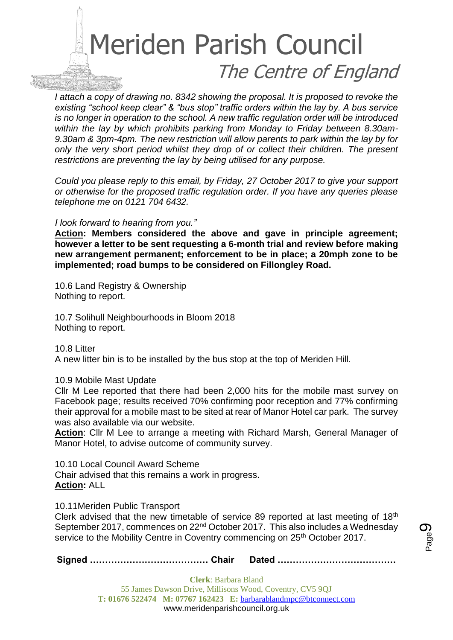

*I attach a copy of drawing no. 8342 showing the proposal. It is proposed to revoke the existing "school keep clear" & "bus stop" traffic orders within the lay by. A bus service is no longer in operation to the school. A new traffic regulation order will be introduced within the lay by which prohibits parking from Monday to Friday between 8.30am-9.30am & 3pm-4pm. The new restriction will allow parents to park within the lay by for only the very short period whilst they drop of or collect their children. The present restrictions are preventing the lay by being utilised for any purpose.*

*Could you please reply to this email, by Friday, 27 October 2017 to give your support or otherwise for the proposed traffic regulation order. If you have any queries please telephone me on 0121 704 6432.*

#### *I look forward to hearing from you."*

**Action: Members considered the above and gave in principle agreement; however a letter to be sent requesting a 6-month trial and review before making new arrangement permanent; enforcement to be in place; a 20mph zone to be implemented; road bumps to be considered on Fillongley Road.** 

10.6 Land Registry & Ownership Nothing to report.

10.7 Solihull Neighbourhoods in Bloom 2018 Nothing to report.

10.8 Litter A new litter bin is to be installed by the bus stop at the top of Meriden Hill.

#### 10.9 Mobile Mast Update

Cllr M Lee reported that there had been 2,000 hits for the mobile mast survey on Facebook page; results received 70% confirming poor reception and 77% confirming their approval for a mobile mast to be sited at rear of Manor Hotel car park. The survey was also available via our website.

**Action**: Cllr M Lee to arrange a meeting with Richard Marsh, General Manager of Manor Hotel, to advise outcome of community survey.

10.10 Local Council Award Scheme Chair advised that this remains a work in progress. **Action:** ALL

10.11Meriden Public Transport

Clerk advised that the new timetable of service 89 reported at last meeting of 18th September 2017, commences on 22nd October 2017. This also includes a Wednesday service to the Mobility Centre in Coventry commencing on 25<sup>th</sup> October 2017.

**Signed ………………………………… Chair Dated …………………………………**

Page ග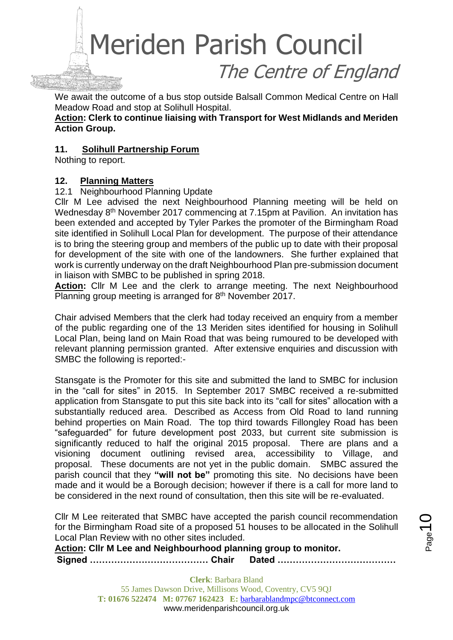We await the outcome of a bus stop outside Balsall Common Medical Centre on Hall Meadow Road and stop at Solihull Hospital.

**Action: Clerk to continue liaising with Transport for West Midlands and Meriden Action Group.**

#### **11. Solihull Partnership Forum**

Nothing to report.

#### **12. Planning Matters**

#### 12.1 Neighbourhood Planning Update

Cllr M Lee advised the next Neighbourhood Planning meeting will be held on Wednesday 8<sup>th</sup> November 2017 commencing at 7.15pm at Pavilion. An invitation has been extended and accepted by Tyler Parkes the promoter of the Birmingham Road site identified in Solihull Local Plan for development. The purpose of their attendance is to bring the steering group and members of the public up to date with their proposal for development of the site with one of the landowners. She further explained that work is currently underway on the draft Neighbourhood Plan pre-submission document in liaison with SMBC to be published in spring 2018.

**Action:** Cllr M Lee and the clerk to arrange meeting. The next Neighbourhood Planning group meeting is arranged for 8<sup>th</sup> November 2017.

Chair advised Members that the clerk had today received an enquiry from a member of the public regarding one of the 13 Meriden sites identified for housing in Solihull Local Plan, being land on Main Road that was being rumoured to be developed with relevant planning permission granted. After extensive enquiries and discussion with SMBC the following is reported:-

Stansgate is the Promoter for this site and submitted the land to SMBC for inclusion in the "call for sites" in 2015. In September 2017 SMBC received a re-submitted application from Stansgate to put this site back into its "call for sites" allocation with a substantially reduced area. Described as Access from Old Road to land running behind properties on Main Road. The top third towards Fillongley Road has been "safeguarded" for future development post 2033, but current site submission is significantly reduced to half the original 2015 proposal. There are plans and a visioning document outlining revised area, accessibility to Village, and proposal. These documents are not yet in the public domain. SMBC assured the parish council that they **"will not be"** promoting this site. No decisions have been made and it would be a Borough decision; however if there is a call for more land to be considered in the next round of consultation, then this site will be re-evaluated.

Cllr M Lee reiterated that SMBC have accepted the parish council recommendation for the Birmingham Road site of a proposed 51 houses to be allocated in the Solihull Local Plan Review with no other sites included.

**Signed ………………………………… Chair Dated ………………………………… Action: Cllr M Lee and Neighbourhood planning group to monitor.**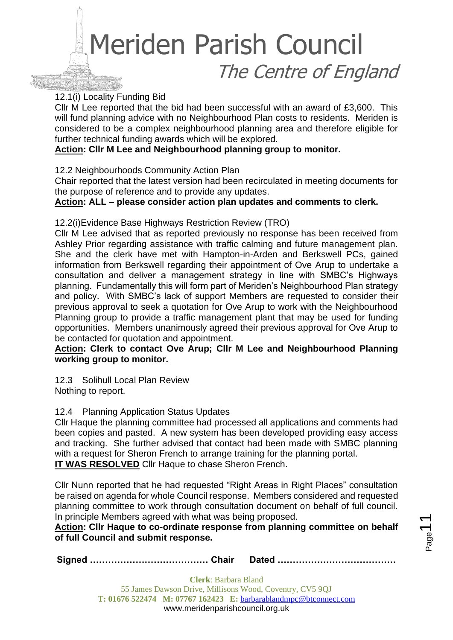#### 12.1(i) Locality Funding Bid

Cllr M Lee reported that the bid had been successful with an award of £3,600. This will fund planning advice with no Neighbourhood Plan costs to residents. Meriden is considered to be a complex neighbourhood planning area and therefore eligible for further technical funding awards which will be explored.

#### **Action: Cllr M Lee and Neighbourhood planning group to monitor.**

#### 12.2 Neighbourhoods Community Action Plan

Chair reported that the latest version had been recirculated in meeting documents for the purpose of reference and to provide any updates.

**Action: ALL – please consider action plan updates and comments to clerk.**

#### 12.2(i)Evidence Base Highways Restriction Review (TRO)

Cllr M Lee advised that as reported previously no response has been received from Ashley Prior regarding assistance with traffic calming and future management plan. She and the clerk have met with Hampton-in-Arden and Berkswell PCs, gained information from Berkswell regarding their appointment of Ove Arup to undertake a consultation and deliver a management strategy in line with SMBC's Highways planning. Fundamentally this will form part of Meriden's Neighbourhood Plan strategy and policy. With SMBC's lack of support Members are requested to consider their previous approval to seek a quotation for Ove Arup to work with the Neighbourhood Planning group to provide a traffic management plant that may be used for funding opportunities. Members unanimously agreed their previous approval for Ove Arup to be contacted for quotation and appointment.

#### **Action: Clerk to contact Ove Arup; Cllr M Lee and Neighbourhood Planning working group to monitor.**

12.3 Solihull Local Plan Review Nothing to report.

#### 12.4 Planning Application Status Updates

Cllr Haque the planning committee had processed all applications and comments had been copies and pasted. A new system has been developed providing easy access and tracking. She further advised that contact had been made with SMBC planning with a request for Sheron French to arrange training for the planning portal. **IT WAS RESOLVED** Cllr Haque to chase Sheron French.

Cllr Nunn reported that he had requested "Right Areas in Right Places" consultation be raised on agenda for whole Council response. Members considered and requested planning committee to work through consultation document on behalf of full council. In principle Members agreed with what was being proposed.

#### **Action: Cllr Haque to co-ordinate response from planning committee on behalf of full Council and submit response.**

**Signed ………………………………… Chair Dated …………………………………**